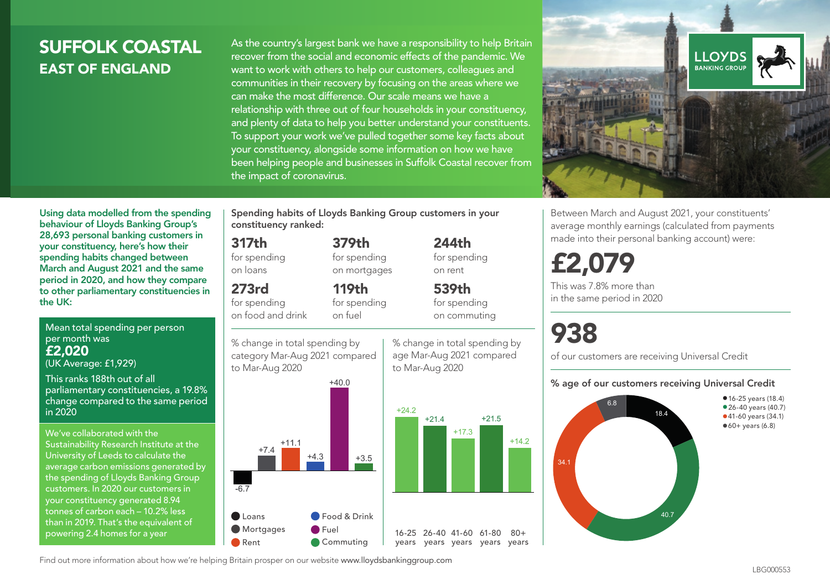## SUFFOLK COASTAL EAST OF ENGLAND

As the country's largest bank we have a responsibility to help Britain recover from the social and economic effects of the pandemic. We want to work with others to help our customers, colleagues and communities in their recovery by focusing on the areas where we can make the most difference. Our scale means we have a relationship with three out of four households in your constituency, and plenty of data to help you better understand your constituents. To support your work we've pulled together some key facts about your constituency, alongside some information on how we have been helping people and businesses in Suffolk Coastal recover from the impact of coronavirus.



Using data modelled from the spending behaviour of Lloyds Banking Group's 28,693 personal banking customers in your constituency, here's how their spending habits changed between March and August 2021 and the same period in 2020, and how they compare to other parliamentary constituencies in the UK:

Mean total spending per person per month was £2,020

(UK Average: £1,929)

This ranks 188th out of all parliamentary constituencies, a 19.8% change compared to the same period in 2020

We've collaborated with the Sustainability Research Institute at the University of Leeds to calculate the average carbon emissions generated by the spending of Lloyds Banking Group customers. In 2020 our customers in your constituency generated 8.94 tonnes of carbon each – 10.2% less than in 2019. That's the equivalent of powering 2.4 homes for a year

Spending habits of Lloyds Banking Group customers in your constituency ranked:

> 379th for spending on mortgages

## 317th for spending

on loans 273rd

for spending on food and drink 119th

for spending on fuel



for spending on rent 539th

244th

for spending on commuting

% change in total spending by age Mar-Aug 2021 compared to Mar-Aug 2020



£2,079 This was 7.8% more than

in the same period in 2020

# 938

of our customers are receiving Universal Credit

#### % age of our customers receiving Universal Credit

Between March and August 2021, your constituents' average monthly earnings (calculated from payments made into their personal banking account) were:



Find out more information about how we're helping Britain prosper on our website www.lloydsbankinggroup.com